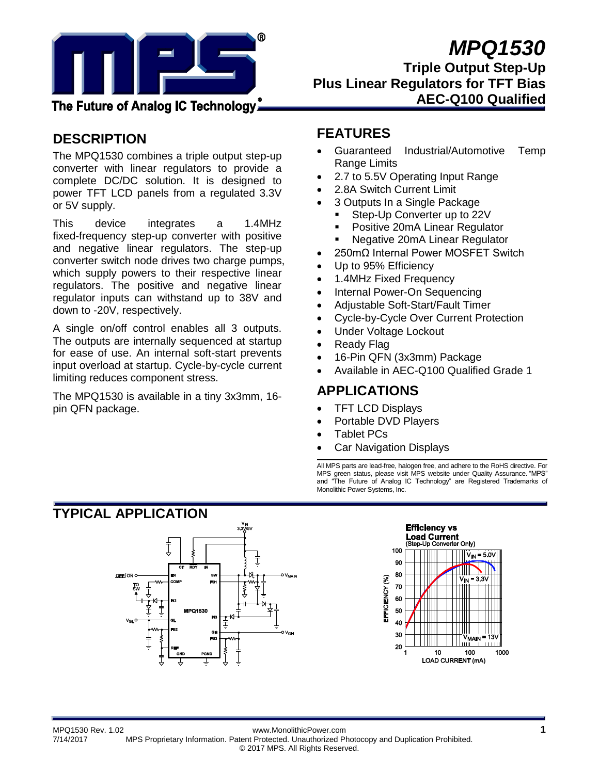

# *MPQ1530*

**Triple Output Step-Up Plus Linear Regulators for TFT Bias AEC-Q100 Qualified**

## **DESCRIPTION**

The MPQ1530 combines a triple output step-up converter with linear regulators to provide a complete DC/DC solution. It is designed to power TFT LCD panels from a regulated 3.3V or 5V supply.

This device integrates a 1.4MHz fixed-frequency step-up converter with positive and negative linear regulators. The step-up converter switch node drives two charge pumps, which supply powers to their respective linear regulators. The positive and negative linear regulator inputs can withstand up to 38V and down to -20V, respectively.

A single on/off control enables all 3 outputs. The outputs are internally sequenced at startup for ease of use. An internal soft-start prevents input overload at startup. Cycle-by-cycle current limiting reduces component stress.

The MPQ1530 is available in a tiny 3x3mm, 16 pin QFN package.

## **FEATURES**

- Guaranteed Industrial/Automotive Temp Range Limits
- 2.7 to 5.5V Operating Input Range
- 2.8A Switch Current Limit
	- 3 Outputs In a Single Package
	- Step-Up Converter up to 22V
	- Positive 20mA Linear Regulator
	- Negative 20mA Linear Regulator
- 250mΩ Internal Power MOSFET Switch
- Up to 95% Efficiency
- 1.4MHz Fixed Frequency
- Internal Power-On Sequencing
- Adjustable Soft-Start/Fault Timer
- Cycle-by-Cycle Over Current Protection
- Under Voltage Lockout
- Ready Flag
- 16-Pin QFN (3x3mm) Package
- Available in AEC-Q100 Qualified Grade 1

### **APPLICATIONS**

- TFT LCD Displays
- Portable DVD Players
- Tablet PCs
- Car Navigation Displays

All MPS parts are lead-free, halogen free, and adhere to the RoHS directive. For MPS green status, please visit MPS website under Quality Assurance. "MPS" and "The Future of Analog IC Technology" are Registered Trademarks of Monolithic Power Systems, Inc.







MPQ1530 Rev. 1.02 www.MonolithicPower.com **1** 7/14/2017 MPS Proprietary Information. Patent Protected. Unauthorized Photocopy and Duplication Prohibited. © 2017 MPS. All Rights Reserved.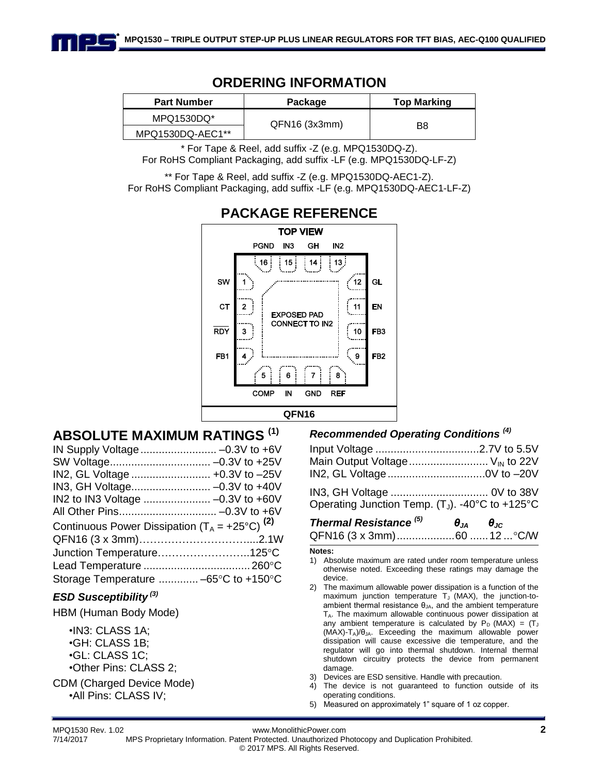### **ORDERING INFORMATION**

| <b>Part Number</b> | Package      | <b>Top Marking</b> |  |
|--------------------|--------------|--------------------|--|
| MPQ1530DQ*         | QFN16(3x3mm) |                    |  |
| MPQ1530DQ-AEC1**   |              | B8                 |  |

\* For Tape & Reel, add suffix -Z (e.g. MPQ1530DQ-Z). For RoHS Compliant Packaging, add suffix -LF (e.g. MPQ1530DQ-LF-Z)

\*\* For Tape & Reel, add suffix -Z (e.g. MPQ1530DQ-AEC1-Z). For RoHS Compliant Packaging, add suffix -LF (e.g. MPQ1530DQ-AEC1-LF-Z)



# **PACKAGE REFERENCE**

## **ABSOLUTE MAXIMUM RATINGS (1)**

IN Supply Voltage......................... –0.3V to +6V SW Voltage................................. –0.3V to +25V IN2, GL Voltage .......................... +0.3V to –25V IN3, GH Voltage.......................... –0.3V to +40V IN2 to IN3 Voltage ...................... –0.3V to +60V All Other Pins................................ –0.3V to +6V Continuous Power Dissipation  $(T_A = +25^{\circ}C)^{(2)}$ QFN16 (3 x 3mm)…………………………....2.1W Junction Temperature………………………………125°C Lead Temperature ...................................260C Storage Temperature .............. -65°C to +150°C

#### *ESD Susceptibility (3)*

HBM (Human Body Mode)

•IN3: CLASS 1A; •GH: CLASS 1B; •GL: CLASS 1C; •Other Pins: CLASS 2;

CDM (Charged Device Mode) •All Pins: CLASS IV;

#### *Recommended Operating Conditions (4)*

| Main Output Voltage $V_{\text{IN}}$ to 22V |  |
|--------------------------------------------|--|
| IN2, GL Voltage0V to -20V                  |  |
|                                            |  |

Operating Junction Temp.  $(T_J)$ . -40°C to +125°C

| Thermal Resistance <sup>(5)</sup> | $\theta_{JA}$ $\theta_{JC}$ |  |
|-----------------------------------|-----------------------------|--|
|                                   |                             |  |

#### **Notes:**

- 1) Absolute maximum are rated under room temperature unless otherwise noted. Exceeding these ratings may damage the device.
- 2) The maximum allowable power dissipation is a function of the maximum junction temperature  $T_J$  (MAX), the junction-toambient thermal resistance  $\theta_{JA}$ , and the ambient temperature  $T_A$ . The maximum allowable continuous power dissipation at any ambient temperature is calculated by  $P_D$  (MAX) =  $(T_J)$  $(MAX)-T_A)/\theta_{JA}$ . Exceeding the maximum allowable power dissipation will cause excessive die temperature, and the regulator will go into thermal shutdown. Internal thermal shutdown circuitry protects the device from permanent damage.
- 3) Devices are ESD sensitive. Handle with precaution.
- 4) The device is not guaranteed to function outside of its operating conditions.
- 5) Measured on approximately 1" square of 1 oz copper.

MPQ1530 Rev. 1.02 www.MonolithicPower.com **2**

7/14/2017 MPS Proprietary Information. Patent Protected. Unauthorized Photocopy and Duplication Prohibited. © 2017 MPS. All Rights Reserved.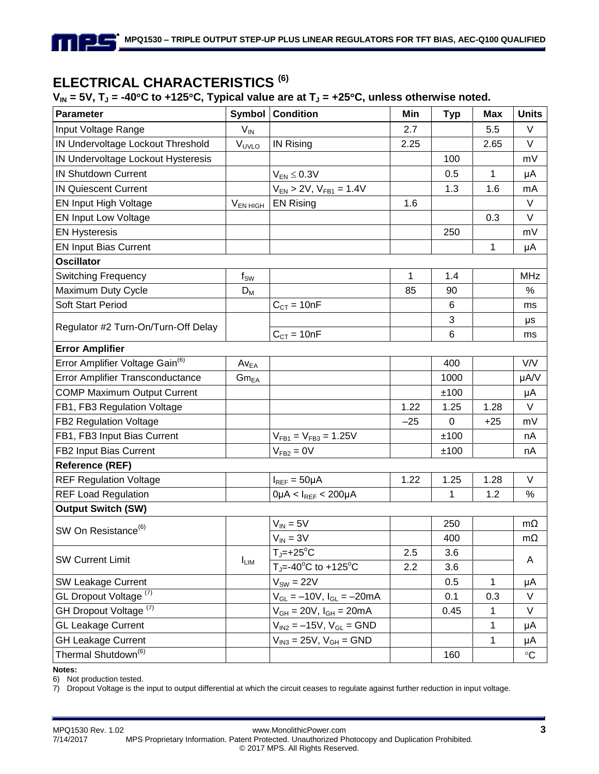## **ELECTRICAL CHARACTERISTICS (6)**

#### $V_{IN}$  = 5V,  $T_J$  = -40°C to +125°C, Typical value are at  $T_J$  = +25°C, unless otherwise noted.

| <b>Parameter</b>                            | <b>Symbol</b>             | <b>Condition</b>                                          | Min   | <b>Typ</b> | <b>Max</b>   | <b>Units</b>      |
|---------------------------------------------|---------------------------|-----------------------------------------------------------|-------|------------|--------------|-------------------|
| Input Voltage Range                         | $V_{IN}$                  |                                                           | 2.7   |            | 5.5          | V                 |
| IN Undervoltage Lockout Threshold           | V <sub>UVLO</sub>         | <b>IN Rising</b>                                          | 2.25  |            | 2.65         | V                 |
| IN Undervoltage Lockout Hysteresis          |                           |                                                           |       | 100        |              | mV                |
| <b>IN Shutdown Current</b>                  |                           | $V_{EN} \leq 0.3V$                                        |       | 0.5        | $\mathbf 1$  | μA                |
| <b>IN Quiescent Current</b>                 |                           | $V_{EN}$ > 2V, $V_{FB1}$ = 1.4V                           |       | 1.3        | 1.6          | mA                |
| EN Input High Voltage                       | V <sub>EN HIGH</sub>      | <b>EN Rising</b>                                          | 1.6   |            |              | V                 |
| <b>EN Input Low Voltage</b>                 |                           |                                                           |       |            | 0.3          | V                 |
| <b>EN Hysteresis</b>                        |                           |                                                           |       | 250        |              | mV                |
| <b>EN Input Bias Current</b>                |                           |                                                           |       |            | $\mathbf 1$  | μA                |
| <b>Oscillator</b>                           |                           |                                                           |       |            |              |                   |
| <b>Switching Frequency</b>                  | $f_{SW}$                  |                                                           | 1     | 1.4        |              | <b>MHz</b>        |
| Maximum Duty Cycle                          | $\mathsf{D}_{\mathsf{M}}$ |                                                           | 85    | 90         |              | %                 |
| <b>Soft Start Period</b>                    |                           | $C_{CT} = 10nF$                                           |       | 6          |              | ms                |
| Regulator #2 Turn-On/Turn-Off Delay         |                           |                                                           |       | 3          |              | μs                |
|                                             |                           | $C_{CT} = 10nF$                                           |       | $\,6$      |              | ms                |
| <b>Error Amplifier</b>                      |                           |                                                           |       |            |              |                   |
| Error Amplifier Voltage Gain <sup>(6)</sup> | $Av_{EA}$                 |                                                           |       | 400        |              | V/V               |
| Error Amplifier Transconductance            | $\mathsf{Gm}_\mathsf{EA}$ |                                                           |       | 1000       |              | µA/V              |
| <b>COMP Maximum Output Current</b>          |                           |                                                           |       | ±100       |              | μA                |
| FB1, FB3 Regulation Voltage                 |                           |                                                           | 1.22  | 1.25       | 1.28         | $\vee$            |
| FB2 Regulation Voltage                      |                           |                                                           | $-25$ | 0          | $+25$        | mV                |
| FB1, FB3 Input Bias Current                 |                           | $V_{FB1} = V_{FB3} = 1.25V$                               |       | ±100       |              | nA                |
| FB2 Input Bias Current                      |                           | $VFB2 = 0V$                                               |       | ±100       |              | nA                |
| <b>Reference (REF)</b>                      |                           |                                                           |       |            |              |                   |
| <b>REF Regulation Voltage</b>               |                           | $I_{REF} = 50 \mu A$                                      | 1.22  | 1.25       | 1.28         | V                 |
| <b>REF Load Regulation</b>                  |                           | $0\mu A < I_{REF} < 200\mu A$                             |       | 1          | 1.2          | %                 |
| <b>Output Switch (SW)</b>                   |                           |                                                           |       |            |              |                   |
| SW On Resistance <sup>(6)</sup>             |                           | $V_{IN} = 5V$                                             |       | 250        |              | $m\Omega$         |
|                                             |                           | $V_{IN} = 3V$                                             |       | 400        |              | $m\Omega$         |
| <b>SW Current Limit</b>                     | $I_{LIM}$                 | $TJ=+25oC$                                                | 2.5   | 3.6        |              | A                 |
|                                             |                           | T <sub>J</sub> =-40 <sup>o</sup> C to +125 <sup>o</sup> C | 2.2   | 3.6        |              |                   |
| SW Leakage Current                          |                           | $V_{SW} = 22V$                                            |       | 0.5        | $\mathbf{1}$ | μA                |
| GL Dropout Voltage <sup>(7)</sup>           |                           | $V_{GL} = -10V$ , $I_{GL} = -20mA$                        |       | 0.1        | 0.3          | V                 |
| GH Dropout Voltage <sup>(7)</sup>           |                           | $V_{GH} = 20V, I_{GH} = 20mA$                             |       | 0.45       | 1            | V                 |
| <b>GL Leakage Current</b>                   |                           | $V_{1N2} = -15V$ , $V_{GL} = GND$                         |       |            | $\mathbf 1$  | μA                |
| <b>GH Leakage Current</b>                   |                           | $V_{IN3} = 25V, V_{GH} = GND$                             |       |            | $\mathbf{1}$ | μA                |
| Thermal Shutdown <sup>(6)</sup>             |                           |                                                           |       | 160        |              | $^\circ \text{C}$ |

#### **Notes:**

6) Not production tested.

7) Dropout Voltage is the input to output differential at which the circuit ceases to regulate against further reduction in input voltage.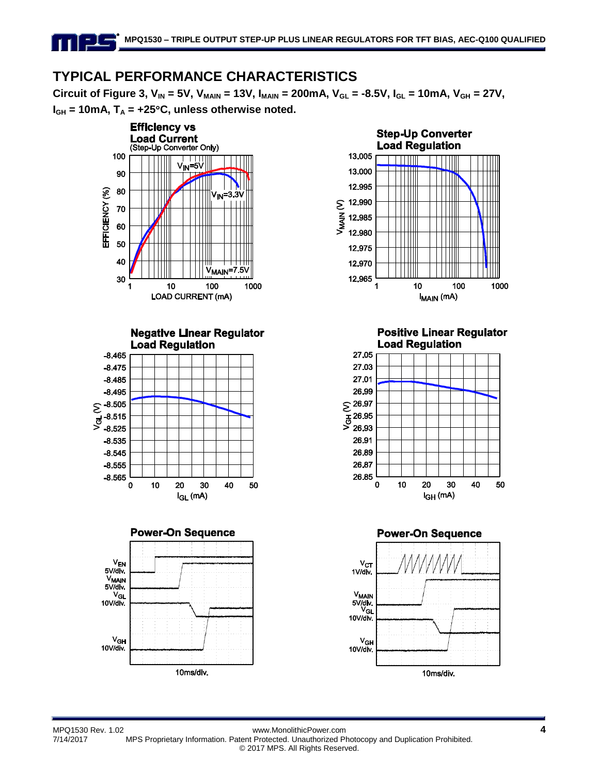## **TYPICAL PERFORMANCE CHARACTERISTICS**

**Circuit of Figure 3,**  $V_{IN}$  **= 5V,**  $V_{MAN}$  **= 13V,**  $I_{MAN}$  **= 200mA,**  $V_{GL}$  **= -8.5V,**  $I_{GL}$  **= 10mA,**  $V_{GH}$  **= 27V,**  $I_{GH}$  = 10mA,  $T_A$  = +25 $^{\circ}$ C, unless otherwise noted.











**Positive Linear Regulator Load Regulation** 



**Power-On Sequence** 



MPQ1530 Rev. 1.02 www.MonolithicPower.com **4** 7/14/2017 MPS Proprietary Information. Patent Protected. Unauthorized Photocopy and Duplication Prohibited. © 2017 MPS. All Rights Reserved.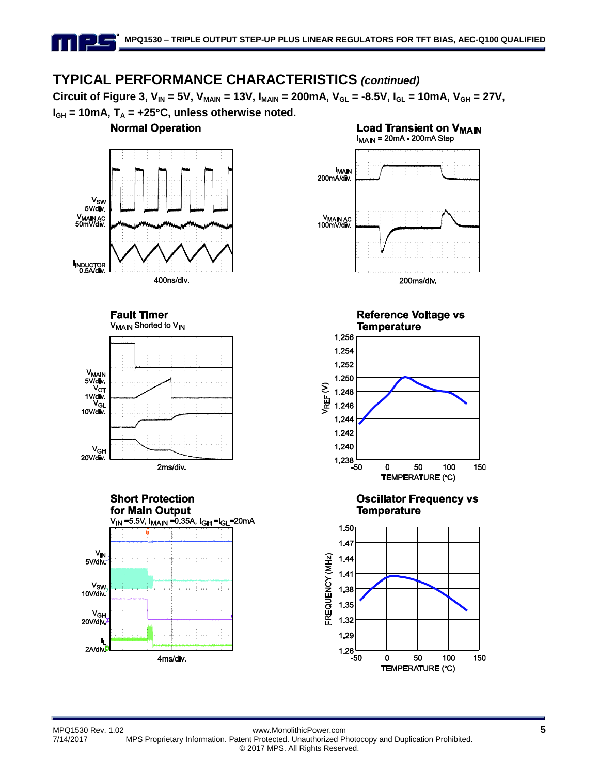## **TYPICAL PERFORMANCE CHARACTERISTICS** *(continued)*

**Circuit of Figure 3,**  $V_{IN} = 5V$ **,**  $V_{MAIN} = 13V$ **,**  $I_{MAIN} = 200mA$ **,**  $V_{GL} = -8.5V$ **,**  $I_{GL} = 10mA$ **,**  $V_{GH} = 27V$ **,**  $I_{GH}$  = 10mA,  $T_A$  = +25 $^{\circ}$ C, unless otherwise noted.



**TEMPERATURE (°C)**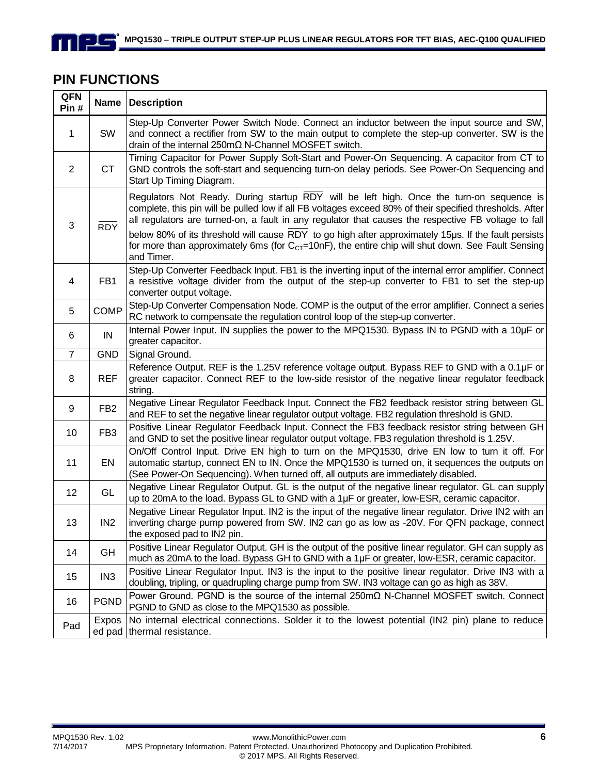### **PIN FUNCTIONS**

<u> - 1 – </u>

1 I I

| QFN<br>Pin#     |                 | Name   Description                                                                                                                                                                                                                                                                                                                                                                                                                                                                                                                         |
|-----------------|-----------------|--------------------------------------------------------------------------------------------------------------------------------------------------------------------------------------------------------------------------------------------------------------------------------------------------------------------------------------------------------------------------------------------------------------------------------------------------------------------------------------------------------------------------------------------|
| 1               | SW              | Step-Up Converter Power Switch Node. Connect an inductor between the input source and SW,<br>and connect a rectifier from SW to the main output to complete the step-up converter. SW is the<br>drain of the internal $250 \text{m}\Omega$ N-Channel MOSFET switch.                                                                                                                                                                                                                                                                        |
| $\overline{2}$  | <b>CT</b>       | Timing Capacitor for Power Supply Soft-Start and Power-On Sequencing. A capacitor from CT to<br>GND controls the soft-start and sequencing turn-on delay periods. See Power-On Sequencing and<br>Start Up Timing Diagram.                                                                                                                                                                                                                                                                                                                  |
| 3               | <b>RDY</b>      | Regulators Not Ready. During startup RDY will be left high. Once the turn-on sequence is<br>complete, this pin will be pulled low if all FB voltages exceed 80% of their specified thresholds. After<br>all regulators are turned-on, a fault in any regulator that causes the respective FB voltage to fall<br>below 80% of its threshold will cause RDY to go high after approximately 15µs. If the fault persists<br>for more than approximately 6ms (for $CCT=10nF$ ), the entire chip will shut down. See Fault Sensing<br>and Timer. |
| 4               | FB1             | Step-Up Converter Feedback Input. FB1 is the inverting input of the internal error amplifier. Connect<br>a resistive voltage divider from the output of the step-up converter to FB1 to set the step-up<br>converter output voltage.                                                                                                                                                                                                                                                                                                       |
| 5               | <b>COMP</b>     | Step-Up Converter Compensation Node. COMP is the output of the error amplifier. Connect a series<br>RC network to compensate the regulation control loop of the step-up converter.                                                                                                                                                                                                                                                                                                                                                         |
| 6               | $\sf IN$        | Internal Power Input. IN supplies the power to the MPQ1530. Bypass IN to PGND with a 10µF or<br>greater capacitor.                                                                                                                                                                                                                                                                                                                                                                                                                         |
| $\overline{7}$  | <b>GND</b>      | Signal Ground.                                                                                                                                                                                                                                                                                                                                                                                                                                                                                                                             |
| 8               | <b>REF</b>      | Reference Output. REF is the 1.25V reference voltage output. Bypass REF to GND with a 0.1µF or<br>greater capacitor. Connect REF to the low-side resistor of the negative linear regulator feedback<br>string.                                                                                                                                                                                                                                                                                                                             |
| 9               | FB <sub>2</sub> | Negative Linear Regulator Feedback Input. Connect the FB2 feedback resistor string between GL<br>and REF to set the negative linear regulator output voltage. FB2 regulation threshold is GND.                                                                                                                                                                                                                                                                                                                                             |
| 10 <sup>1</sup> | FB <sub>3</sub> | Positive Linear Regulator Feedback Input. Connect the FB3 feedback resistor string between GH<br>and GND to set the positive linear regulator output voltage. FB3 regulation threshold is 1.25V.                                                                                                                                                                                                                                                                                                                                           |
| 11              | EN              | On/Off Control Input. Drive EN high to turn on the MPQ1530, drive EN low to turn it off. For<br>automatic startup, connect EN to IN. Once the MPQ1530 is turned on, it sequences the outputs on<br>(See Power-On Sequencing). When turned off, all outputs are immediately disabled.                                                                                                                                                                                                                                                       |
| 12              | GL              | Negative Linear Regulator Output. GL is the output of the negative linear regulator. GL can supply<br>up to 20mA to the load. Bypass GL to GND with a 1µF or greater, low-ESR, ceramic capacitor.                                                                                                                                                                                                                                                                                                                                          |
| 13              | IN <sub>2</sub> | Negative Linear Regulator Input. IN2 is the input of the negative linear regulator. Drive IN2 with an<br>inverting charge pump powered from SW. IN2 can go as low as -20V. For QFN package, connect<br>the exposed pad to IN2 pin.                                                                                                                                                                                                                                                                                                         |
| 14              | GH              | Positive Linear Regulator Output. GH is the output of the positive linear regulator. GH can supply as<br>much as 20mA to the load. Bypass GH to GND with a 1µF or greater, low-ESR, ceramic capacitor.                                                                                                                                                                                                                                                                                                                                     |
| 15              | IN <sub>3</sub> | Positive Linear Regulator Input. IN3 is the input to the positive linear regulator. Drive IN3 with a<br>doubling, tripling, or quadrupling charge pump from SW. IN3 voltage can go as high as 38V.                                                                                                                                                                                                                                                                                                                                         |
| 16              | <b>PGND</b>     | Power Ground. PGND is the source of the internal $250 \text{m}\Omega$ N-Channel MOSFET switch. Connect<br>PGND to GND as close to the MPQ1530 as possible.                                                                                                                                                                                                                                                                                                                                                                                 |
| Pad             | Expos           | No internal electrical connections. Solder it to the lowest potential (IN2 pin) plane to reduce<br>ed pad   thermal resistance.                                                                                                                                                                                                                                                                                                                                                                                                            |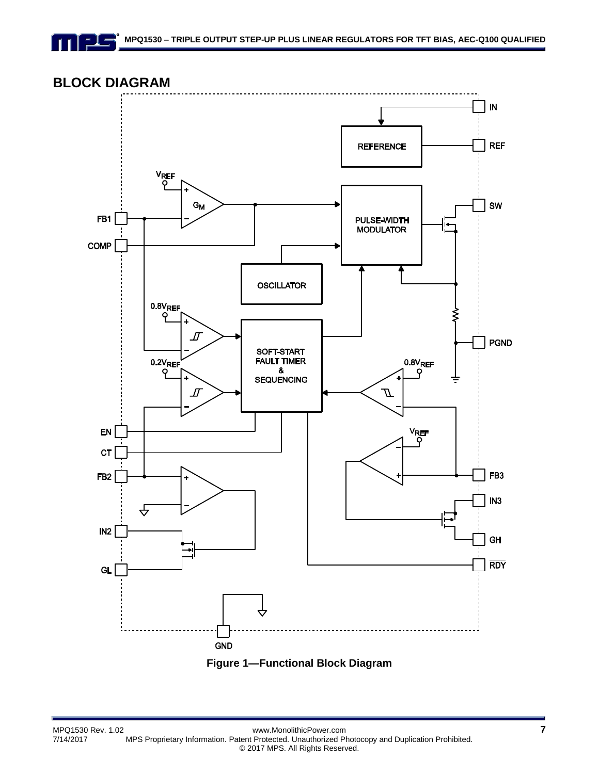## **BLOCK DIAGRAM**

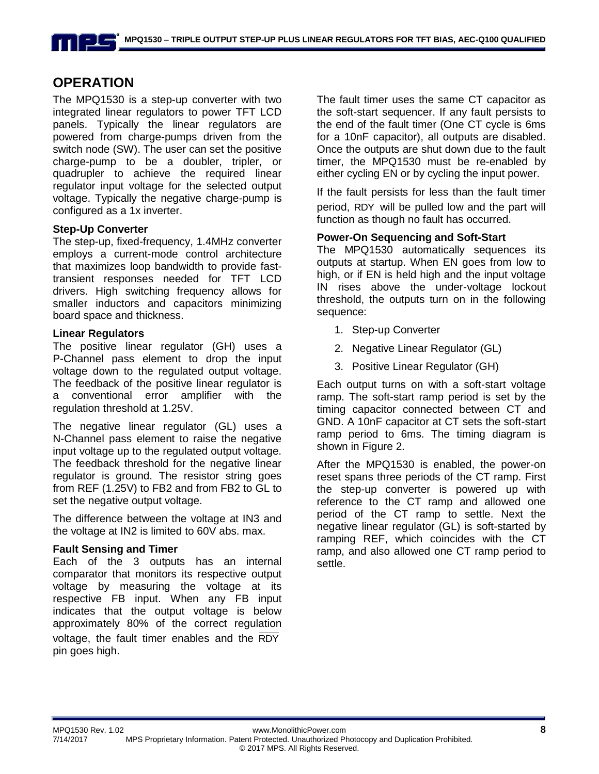### **OPERATION**

The MPQ1530 is a step-up converter with two integrated linear regulators to power TFT LCD panels. Typically the linear regulators are powered from charge-pumps driven from the switch node (SW). The user can set the positive charge-pump to be a doubler, tripler, or quadrupler to achieve the required linear regulator input voltage for the selected output voltage. Typically the negative charge-pump is configured as a 1x inverter.

#### **Step-Up Converter**

The step-up, fixed-frequency, 1.4MHz converter employs a current-mode control architecture that maximizes loop bandwidth to provide fasttransient responses needed for TFT LCD drivers. High switching frequency allows for smaller inductors and capacitors minimizing board space and thickness.

#### **Linear Regulators**

The positive linear regulator (GH) uses a P-Channel pass element to drop the input voltage down to the regulated output voltage. The feedback of the positive linear regulator is a conventional error amplifier with the regulation threshold at 1.25V.

The negative linear regulator (GL) uses a N-Channel pass element to raise the negative input voltage up to the regulated output voltage. The feedback threshold for the negative linear regulator is ground. The resistor string goes from REF (1.25V) to FB2 and from FB2 to GL to set the negative output voltage.

The difference between the voltage at IN3 and the voltage at IN2 is limited to 60V abs. max.

#### **Fault Sensing and Timer**

Each of the 3 outputs has an internal comparator that monitors its respective output voltage by measuring the voltage at its respective FB input. When any FB input indicates that the output voltage is below approximately 80% of the correct regulation voltage, the fault timer enables and the RDY pin goes high.

The fault timer uses the same CT capacitor as the soft-start sequencer. If any fault persists to the end of the fault timer (One CT cycle is 6ms for a 10nF capacitor), all outputs are disabled. Once the outputs are shut down due to the fault timer, the MPQ1530 must be re-enabled by either cycling EN or by cycling the input power.

If the fault persists for less than the fault timer period, RDY will be pulled low and the part will function as though no fault has occurred.

#### **Power-On Sequencing and Soft-Start**

The MPQ1530 automatically sequences its outputs at startup. When EN goes from low to high, or if EN is held high and the input voltage IN rises above the under-voltage lockout threshold, the outputs turn on in the following sequence:

- 1. Step-up Converter
- 2. Negative Linear Regulator (GL)
- 3. Positive Linear Regulator (GH)

Each output turns on with a soft-start voltage ramp. The soft-start ramp period is set by the timing capacitor connected between CT and GND. A 10nF capacitor at CT sets the soft-start ramp period to 6ms. The timing diagram is shown in Figure 2.

After the MPQ1530 is enabled, the power-on reset spans three periods of the CT ramp. First the step-up converter is powered up with reference to the CT ramp and allowed one period of the CT ramp to settle. Next the negative linear regulator (GL) is soft-started by ramping REF, which coincides with the CT ramp, and also allowed one CT ramp period to settle.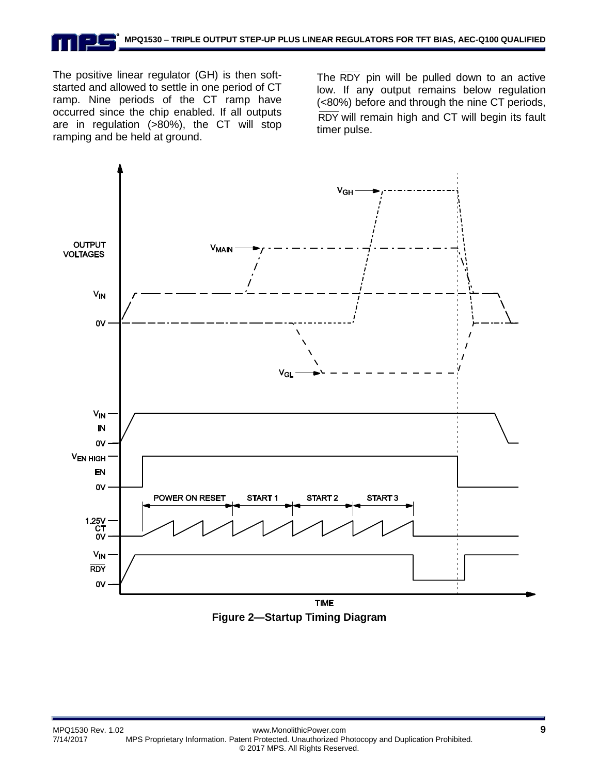The positive linear regulator (GH) is then softstarted and allowed to settle in one period of CT ramp. Nine periods of the CT ramp have occurred since the chip enabled. If all outputs are in regulation (>80%), the CT will stop ramping and be held at ground.

The RDY pin will be pulled down to an active low. If any output remains below regulation (<80%) before and through the nine CT periods, RDY will remain high and CT will begin its fault timer pulse.



**Figure 2—Startup Timing Diagram**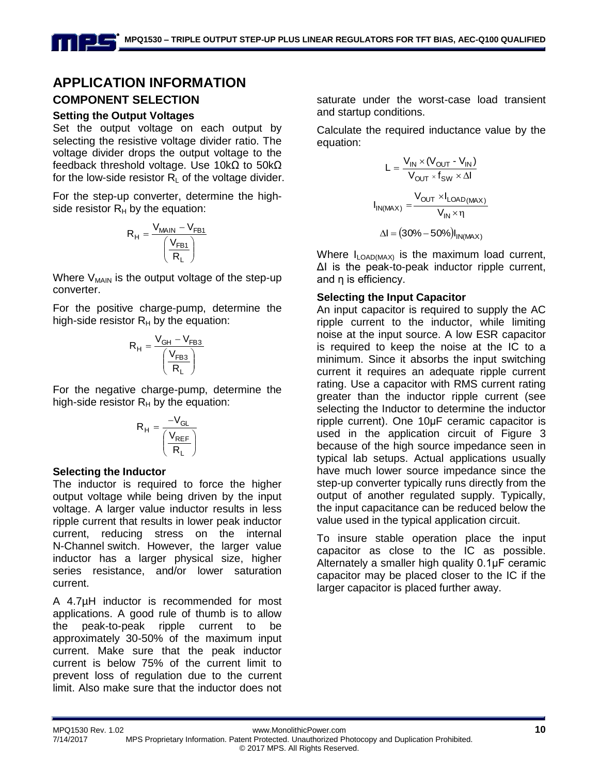### **APPLICATION INFORMATION COMPONENT SELECTION**

### **Setting the Output Voltages**

Set the output voltage on each output by selecting the resistive voltage divider ratio. The voltage divider drops the output voltage to the feedback threshold voltage. Use 10kΩ to 50kΩ for the low-side resistor  $R_1$  of the voltage divider.

For the step-up converter, determine the highside resistor  $R_H$  by the equation:

$$
R_H = \frac{V_{MAIN} - V_{FB1}}{\left(\frac{V_{FB1}}{R_L}\right)}
$$

Where  $V_{MAIN}$  is the output voltage of the step-up converter.

For the positive charge-pump, determine the high-side resistor  $R_H$  by the equation:

$$
R_H = \frac{V_{GH} - V_{FB3}}{\left(\frac{V_{FB3}}{R_L}\right)}
$$

For the negative charge-pump, determine the high-side resistor  $R_H$  by the equation:

$$
R_H = \frac{-V_{GL}}{\left(\frac{V_{REF}}{R_L}\right)}
$$

#### **Selecting the Inductor**

The inductor is required to force the higher output voltage while being driven by the input voltage. A larger value inductor results in less ripple current that results in lower peak inductor current, reducing stress on the internal N-Channel switch. However, the larger value inductor has a larger physical size, higher series resistance, and/or lower saturation current.

A 4.7µH inductor is recommended for most applications. A good rule of thumb is to allow the peak-to-peak ripple current to be approximately 30-50% of the maximum input current. Make sure that the peak inductor current is below 75% of the current limit to prevent loss of regulation due to the current limit. Also make sure that the inductor does not

saturate under the worst-case load transient and startup conditions.

Calculate the required inductance value by the equation:

$$
L = \frac{V_{IN} \times (V_{OUT} - V_{IN})}{V_{OUT} \times f_{SW} \times \Delta I}
$$

$$
I_{IN(MAX)} = \frac{V_{OUT} \times I_{LOAD(MAX)}}{V_{IN} \times \eta}
$$

$$
\Delta I = (30\% - 50\%)I_{IN(MAX)}
$$

Where  $I_{\text{LOAD} (MAX)}$  is the maximum load current, ΔI is the peak-to-peak inductor ripple current, and η is efficiency.

#### **Selecting the Input Capacitor**

An input capacitor is required to supply the AC ripple current to the inductor, while limiting noise at the input source. A low ESR capacitor is required to keep the noise at the IC to a minimum. Since it absorbs the input switching current it requires an adequate ripple current rating. Use a capacitor with RMS current rating greater than the inductor ripple current (see selecting the Inductor to determine the inductor ripple current). One 10μF ceramic capacitor is used in the application circuit of Figure 3 because of the high source impedance seen in typical lab setups. Actual applications usually have much lower source impedance since the step-up converter typically runs directly from the output of another regulated supply. Typically, the input capacitance can be reduced below the value used in the typical application circuit.

To insure stable operation place the input capacitor as close to the IC as possible. Alternately a smaller high quality 0.1μF ceramic capacitor may be placed closer to the IC if the larger capacitor is placed further away.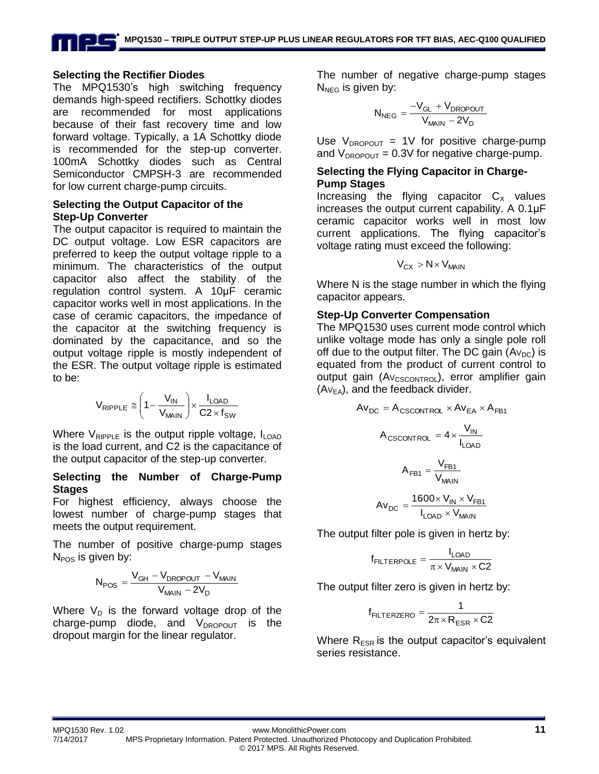#### **Selecting the Rectifier Diodes**

The MPQ1530's high switching frequency demands high-speed rectifiers. Schottky diodes are recommended for most applications because of their fast recovery time and low forward voltage. Typically, a 1A Schottky diode is recommended for the step-up converter. 100mA Schottky diodes such as Central Semiconductor CMPSH-3 are recommended for low current charge-pump circuits.

#### **Selecting the Output Capacitor of the Step-Up Converter**

The output capacitor is required to maintain the DC output voltage. Low ESR capacitors are preferred to keep the output voltage ripple to a minimum. The characteristics of the output capacitor also affect the stability of the regulation control system. A 10μF ceramic capacitor works well in most applications. In the case of ceramic capacitors, the impedance of the capacitor at the switching frequency is dominated by the capacitance, and so the output voltage ripple is mostly independent of the ESR. The output voltage ripple is estimated to be:

$$
V_{\text{RIPPLE}} \cong \left(1 - \frac{V_{\text{IN}}}{V_{\text{MAIN}}}\right) \times \frac{I_{\text{LOAD}}}{C2 \times f_{\text{SW}}}
$$

Where  $V_{RIPPLE}$  is the output ripple voltage,  $I_{LOAD}$ is the load current, and C2 is the capacitance of the output capacitor of the step-up converter.

#### **Selecting the Number of Charge-Pump Stages**

For highest efficiency, always choose the lowest number of charge-pump stages that meets the output requirement.

The number of positive charge-pump stages  $N_{POS}$  is given by:

$$
N_{POS} = \frac{V_{GH} - V_{DROPOUT} - V_{MAIN}}{V_{MAIN} - 2V_D}
$$

Where  $V_D$  is the forward voltage drop of the charge-pump diode, and  $V_{DROPOUT}$  is the dropout margin for the linear regulator.

The number of negative charge-pump stages  $N_{NFG}$  is given by:

$$
N_{NEG} = \frac{-V_{GL} + V_{DROPOUT}}{V_{MAIN} - 2V_{D}}
$$

Use  $V_{DROPOUT}$  = 1V for positive charge-pump and  $V_{DROPOUT} = 0.3V$  for negative charge-pump.

#### **Selecting the Flying Capacitor in Charge-Pump Stages**

Increasing the flying capacitor  $C_x$  values increases the output current capability. A 0.1μF ceramic capacitor works well in most low current applications. The flying capacitor's voltage rating must exceed the following:

$$
V_{CX} > N \times V_{MAIN}
$$

Where N is the stage number in which the flying capacitor appears.

#### **Step-Up Converter Compensation**

The MPQ1530 uses current mode control which unlike voltage mode has only a single pole roll off due to the output filter. The DC gain  $(Av_{DC})$  is equated from the product of current control to output gain (AV<sub>CSCONTROL</sub>), error amplifier gain  $(Av_{FA})$ , and the feedback divider.

$$
Av_{DC} = A_{CSCONTROL} \times Av_{EA} \times A_{FB1}
$$

$$
A_{CSCONTROL} = 4 \times \frac{V_{IN}}{I_{LOAD}}
$$

$$
A_{FB1} = \frac{V_{FB1}}{V_{MAN}}
$$

$$
Av_{DC} = \frac{1600 \times V_{IN} \times V_{FB1}}{I_{LOAD} \times V_{MAN}}
$$

The output filter pole is given in hertz by:

$$
f_{\text{FILTERPOLE}} = \frac{I_{\text{LOAD}}}{\pi \times V_{\text{MAIN}} \times C2}
$$

The output filter zero is given in hertz by:

$$
f_{\text{FILTERZERO}} = \frac{1}{2\pi \times R_{\text{ESR}} \times C2}
$$

Where  $R_{ESR}$  is the output capacitor's equivalent series resistance.

MPQ1530 Rev. 1.02 www.MonolithicPower.com **11** 7/14/2017 MPS Proprietary Information. Patent Protected. Unauthorized Photocopy and Duplication Prohibited. © 2017 MPS. All Rights Reserved.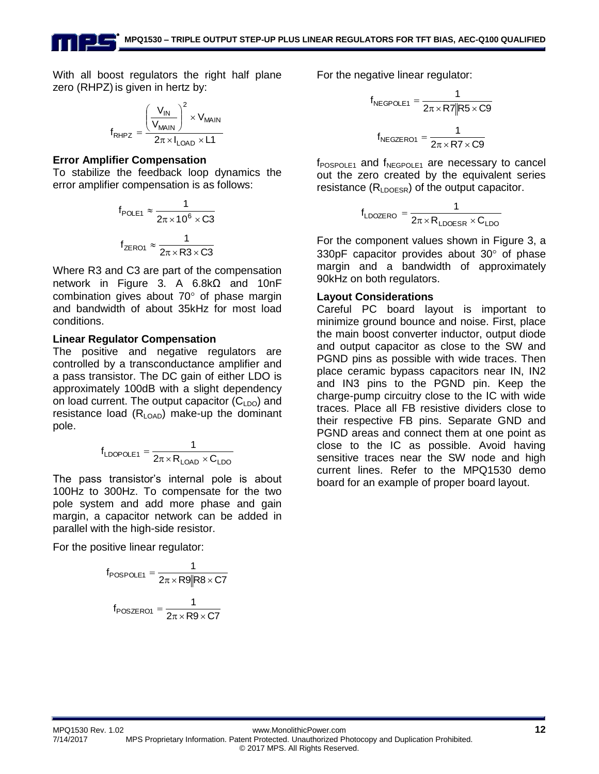With all boost regulators the right half plane zero (RHPZ) is given in hertz by:

$$
f_{RHPZ} = \frac{\left(\frac{V_{IN}}{V_{MAIN}}\right)^2 \times V_{MAIN}}{2\pi \times I_{LOAD} \times L1}
$$

#### **Error Amplifier Compensation**

To stabilize the feedback loop dynamics the error amplifier compensation is as follows:

$$
f_{\text{POLE1}} \approx \frac{1}{2\pi \times 10^6 \times C3}
$$

$$
f_{\text{ZERO1}} \approx \frac{1}{2\pi \times R3 \times C3}
$$

Where R3 and C3 are part of the compensation network in Figure 3. A 6.8kΩ and 10nF combination gives about  $70^{\circ}$  of phase margin and bandwidth of about 35kHz for most load conditions.

#### **Linear Regulator Compensation**

The positive and negative regulators are controlled by a transconductance amplifier and a pass transistor. The DC gain of either LDO is approximately 100dB with a slight dependency on load current. The output capacitor  $(C<sub>LDO</sub>)$  and resistance load  $(R<sub>LOAD</sub>)$  make-up the dominant pole.

$$
f_{\text{LDOPOLE1}} = \frac{1}{2\pi \times R_{\text{LOAD}} \times C_{\text{LDO}}}
$$

The pass transistor's internal pole is about 100Hz to 300Hz. To compensate for the two pole system and add more phase and gain margin, a capacitor network can be added in parallel with the high-side resistor.

For the positive linear regulator:

$$
f_{\text{POSPOLE1}} = \frac{1}{2\pi \times \text{R9} \|\text{R8} \times \text{C7}}
$$

$$
f_{\text{POSZERO1}} = \frac{1}{2\pi \times \text{R9} \times \text{C7}}
$$

For the negative linear regulator:

$$
f_{NEGPOLE1} = \frac{1}{2\pi \times R7|RS \times C9}
$$

$$
f_{NEGZERO1} = \frac{1}{2\pi \times R7 \times C9}
$$

 $f_{\text{POSPOLE1}}$  and  $f_{\text{NEGPOLE1}}$  are necessary to cancel out the zero created by the equivalent series resistance  $(R<sub>LDOESR</sub>)$  of the output capacitor.

$$
f_{\text{LDOZERO}} = \frac{1}{2\pi \times R_{\text{LDOESR}} \times C_{\text{LDO}}
$$

For the component values shown in Figure 3, a 330pF capacitor provides about  $30^{\circ}$  of phase margin and a bandwidth of approximately 90kHz on both regulators.

#### **Layout Considerations**

Careful PC board layout is important to minimize ground bounce and noise. First, place the main boost converter inductor, output diode and output capacitor as close to the SW and PGND pins as possible with wide traces. Then place ceramic bypass capacitors near IN, IN2 and IN3 pins to the PGND pin. Keep the charge-pump circuitry close to the IC with wide traces. Place all FB resistive dividers close to their respective FB pins. Separate GND and PGND areas and connect them at one point as close to the IC as possible. Avoid having sensitive traces near the SW node and high current lines. Refer to the MPQ1530 demo board for an example of proper board layout.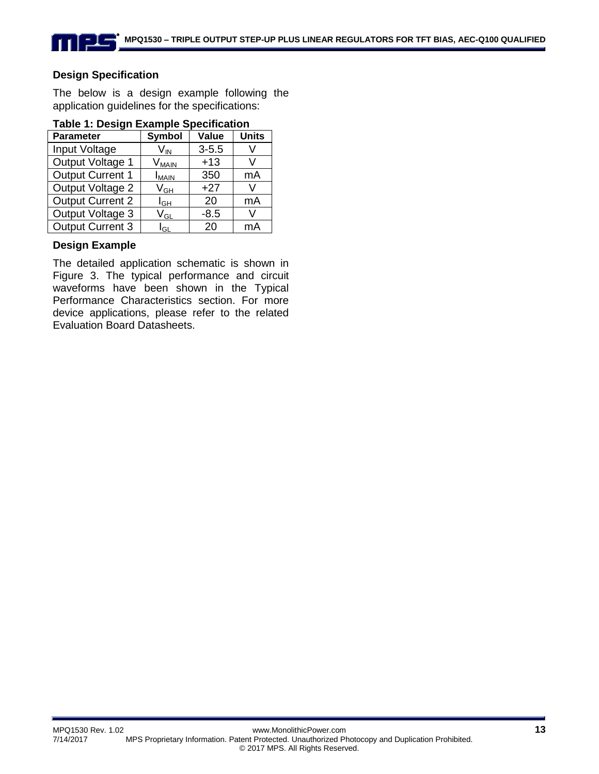#### **Design Specification**

The below is a design example following the application guidelines for the specifications:

| <b>Parameter</b>        | <b>Symbol</b>                | Value     | <b>Units</b> |
|-------------------------|------------------------------|-----------|--------------|
| Input Voltage           | V <sub>IN</sub>              | $3 - 5.5$ |              |
| Output Voltage 1        | $\mathsf{V}_{\mathsf{MAIN}}$ | $+13$     |              |
| <b>Output Current 1</b> | <b>I</b> MAIN                | 350       | mA           |
| Output Voltage 2        | V <sub>GH</sub>              | $+27$     | \/           |
| <b>Output Current 2</b> | l <sub>GH</sub>              | 20        | mA           |
| Output Voltage 3        | V <sub>GL</sub>              | $-8.5$    | V            |
| <b>Output Current 3</b> | $I_{\scriptstyle\rm GL}$     | 20        | mA           |

#### **Table 1: Design Example Specification**

#### **Design Example**

The detailed application schematic is shown in Figure 3. The typical performance and circuit waveforms have been shown in the Typical Performance Characteristics section. For more device applications, please refer to the related Evaluation Board Datasheets.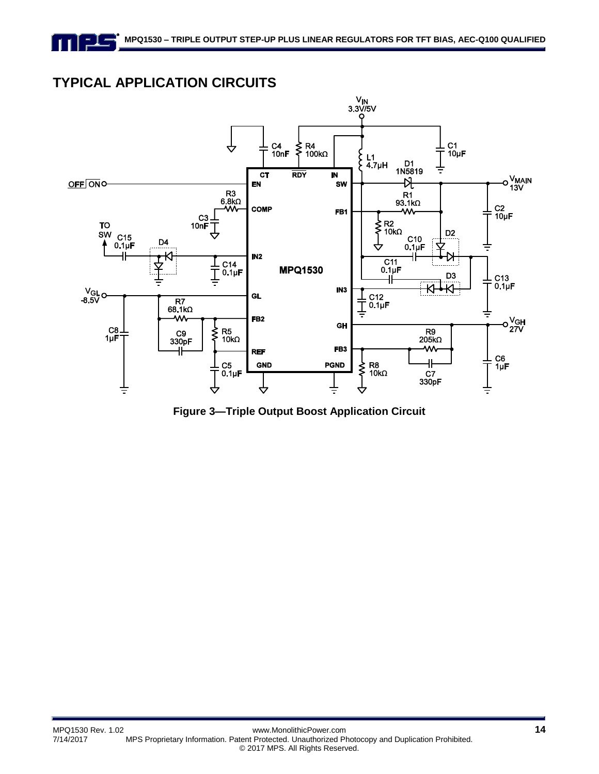## **TYPICAL APPLICATION CIRCUITS**

FIF



**Figure 3—Triple Output Boost Application Circuit**